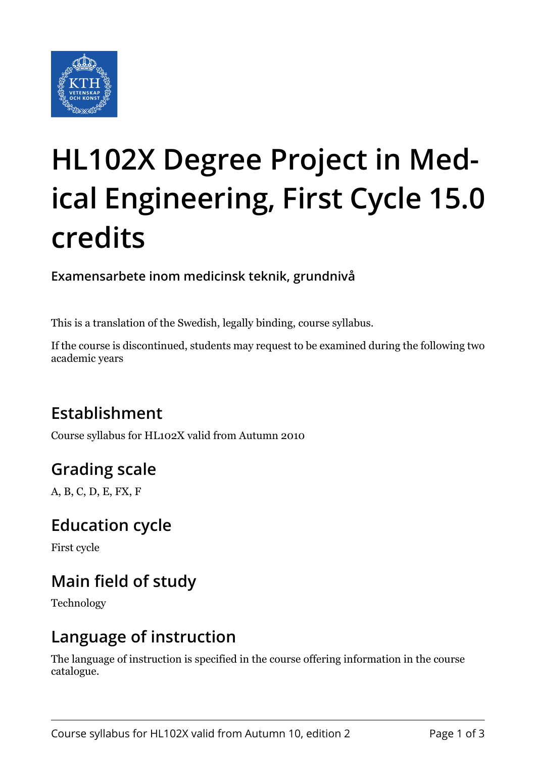

# **HL102X Degree Project in Medical Engineering, First Cycle 15.0 credits**

**Examensarbete inom medicinsk teknik, grundnivå**

This is a translation of the Swedish, legally binding, course syllabus.

If the course is discontinued, students may request to be examined during the following two academic years

## **Establishment**

Course syllabus for HL102X valid from Autumn 2010

## **Grading scale**

A, B, C, D, E, FX, F

#### **Education cycle**

First cycle

## **Main field of study**

Technology

#### **Language of instruction**

The language of instruction is specified in the course offering information in the course catalogue.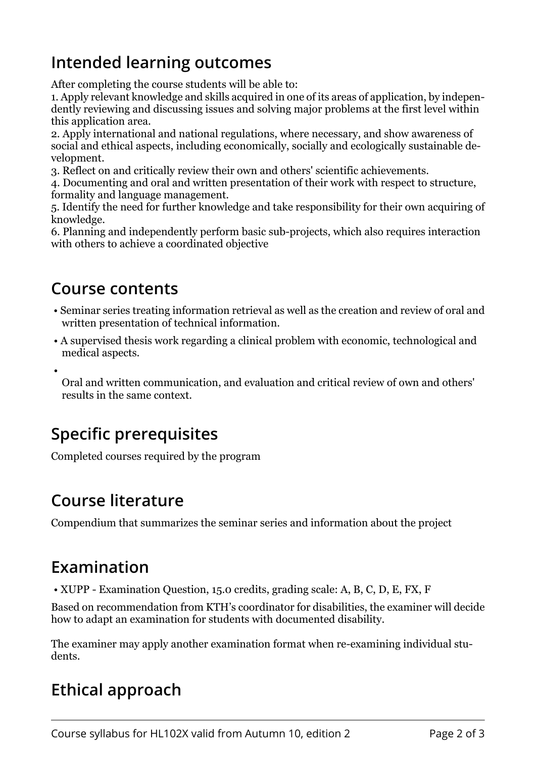#### **Intended learning outcomes**

After completing the course students will be able to:

1. Apply relevant knowledge and skills acquired in one of its areas of application, by independently reviewing and discussing issues and solving major problems at the first level within this application area.

2. Apply international and national regulations, where necessary, and show awareness of social and ethical aspects, including economically, socially and ecologically sustainable development.

3. Reflect on and critically review their own and others' scientific achievements.

4. Documenting and oral and written presentation of their work with respect to structure, formality and language management.

5. Identify the need for further knowledge and take responsibility for their own acquiring of knowledge.

6. Planning and independently perform basic sub-projects, which also requires interaction with others to achieve a coordinated objective

#### **Course contents**

•

- Seminar series treating information retrieval as well as the creation and review of oral and written presentation of technical information.
- A supervised thesis work regarding a clinical problem with economic, technological and medical aspects.

Oral and written communication, and evaluation and critical review of own and others' results in the same context.

## **Specific prerequisites**

Completed courses required by the program

#### **Course literature**

Compendium that summarizes the seminar series and information about the project

#### **Examination**

• XUPP - Examination Question, 15.0 credits, grading scale: A, B, C, D, E, FX, F

Based on recommendation from KTH's coordinator for disabilities, the examiner will decide how to adapt an examination for students with documented disability.

The examiner may apply another examination format when re-examining individual students.

## **Ethical approach**